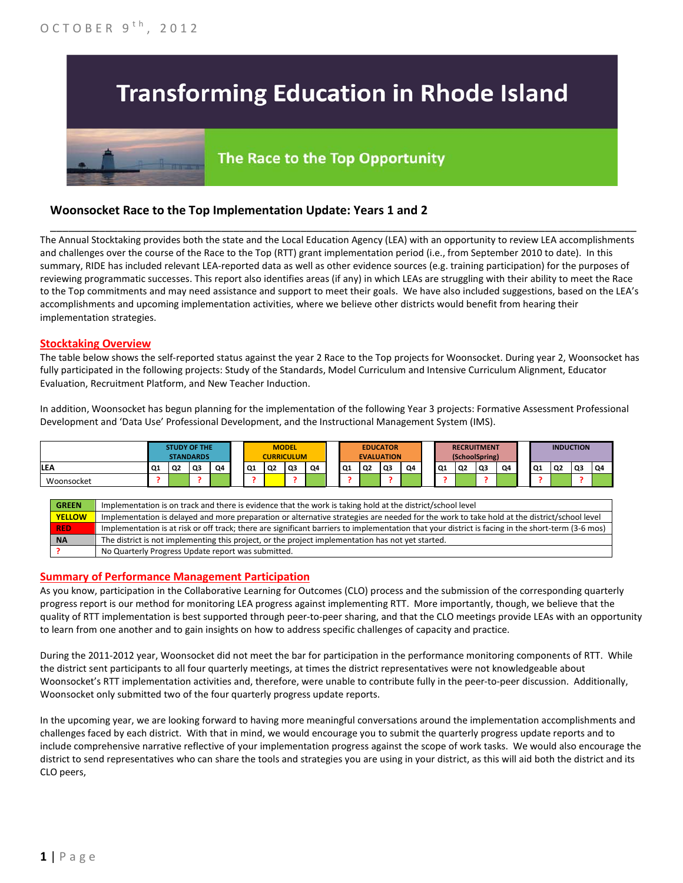# **Transforming Education in Rhode Island**

# The Race to the Top Opportunity

## **Woonsocket Race to the Top Implementation Update: Years 1 and 2**

**NA** The district is not implementing this project, or the project implementation has not yet started.

The Annual Stocktaking provides both the state and the Local Education Agency (LEA) with an opportunity to review LEA accomplishments and challenges over the course of the Race to the Top (RTT) grant implementation period (i.e., from September 2010 to date). In this summary, RIDE has included relevant LEA-reported data as well as other evidence sources (e.g. training participation) for the purposes of reviewing programmatic successes. This report also identifies areas (if any) in which LEAs are struggling with their ability to meet the Race to the Top commitments and may need assistance and support to meet their goals. We have also included suggestions, based on the LEA's accomplishments and upcoming implementation activities, where we believe other districts would benefit from hearing their implementation strategies.

\_\_\_\_\_\_\_\_\_\_\_\_\_\_\_\_\_\_\_\_\_\_\_\_\_\_\_\_\_\_\_\_\_\_\_\_\_\_\_\_\_\_\_\_\_\_\_\_\_\_\_\_\_\_\_\_\_\_\_\_\_\_\_\_\_\_\_\_\_\_\_\_\_\_\_\_\_\_\_\_\_\_\_\_\_\_\_\_\_\_\_\_\_\_\_\_

#### **Stocktaking Overview**

The table below shows the self-reported status against the year 2 Race to the Top projects for Woonsocket. During year 2, Woonsocket has fully participated in the following projects: Study of the Standards, Model Curriculum and Intensive Curriculum Alignment, Educator Evaluation, Recruitment Platform, and New Teacher Induction.

In addition, Woonsocket has begun planning for the implementation of the following Year 3 projects: Formative Assessment Professional Development and 'Data Use' Professional Development, and the Instructional Management System (IMS).

|            |               |                                                                                                                                                   |    | <b>STUDY OF THE</b> | <b>STANDARDS</b> |    |  | <b>MODEL</b><br><b>CURRICULUM</b> |    |    | <b>EDUCATOR</b><br><b>EVALUATION</b> |    |    | <b>RECRUITMENT</b><br>(SchoolSpring) |    |    |    | <b>INDUCTION</b> |           |    |    |    |    |
|------------|---------------|---------------------------------------------------------------------------------------------------------------------------------------------------|----|---------------------|------------------|----|--|-----------------------------------|----|----|--------------------------------------|----|----|--------------------------------------|----|----|----|------------------|-----------|----|----|----|----|
| <b>LEA</b> |               |                                                                                                                                                   | Q1 | Q2                  | Q3               | Q4 |  | Q1                                | Q2 | O3 | Q4                                   | Q1 | Q2 | Q3                                   | Q4 | Q1 | Q2 | Q3               | <b>Q4</b> | Q1 | Q2 | Q3 | Q4 |
| Woonsocket |               |                                                                                                                                                   |    |                     |                  |    |  |                                   |    |    |                                      |    |    |                                      |    |    |    |                  |           |    |    |    |    |
|            |               |                                                                                                                                                   |    |                     |                  |    |  |                                   |    |    |                                      |    |    |                                      |    |    |    |                  |           |    |    |    |    |
|            | <b>GREEN</b>  | Implementation is on track and there is evidence that the work is taking hold at the district/school level                                        |    |                     |                  |    |  |                                   |    |    |                                      |    |    |                                      |    |    |    |                  |           |    |    |    |    |
|            | <b>YELLOW</b> | Implementation is delayed and more preparation or alternative strategies are needed for the work to take hold at the district/school level        |    |                     |                  |    |  |                                   |    |    |                                      |    |    |                                      |    |    |    |                  |           |    |    |    |    |
|            | <b>RED</b>    | Implementation is at risk or off track; there are significant barriers to implementation that your district is facing in the short-term (3-6 mos) |    |                     |                  |    |  |                                   |    |    |                                      |    |    |                                      |    |    |    |                  |           |    |    |    |    |

#### **Summary of Performance Management Participation**

**?** No Quarterly Progress Update report was submitted.

As you know, participation in the Collaborative Learning for Outcomes (CLO) process and the submission of the corresponding quarterly progress report is our method for monitoring LEA progress against implementing RTT. More importantly, though, we believe that the quality of RTT implementation is best supported through peer-to-peer sharing, and that the CLO meetings provide LEAs with an opportunity to learn from one another and to gain insights on how to address specific challenges of capacity and practice.

During the 2011-2012 year, Woonsocket did not meet the bar for participation in the performance monitoring components of RTT. While the district sent participants to all four quarterly meetings, at times the district representatives were not knowledgeable about Woonsocket's RTT implementation activities and, therefore, were unable to contribute fully in the peer-to-peer discussion. Additionally, Woonsocket only submitted two of the four quarterly progress update reports.

In the upcoming year, we are looking forward to having more meaningful conversations around the implementation accomplishments and challenges faced by each district. With that in mind, we would encourage you to submit the quarterly progress update reports and to include comprehensive narrative reflective of your implementation progress against the scope of work tasks. We would also encourage the district to send representatives who can share the tools and strategies you are using in your district, as this will aid both the district and its CLO peers,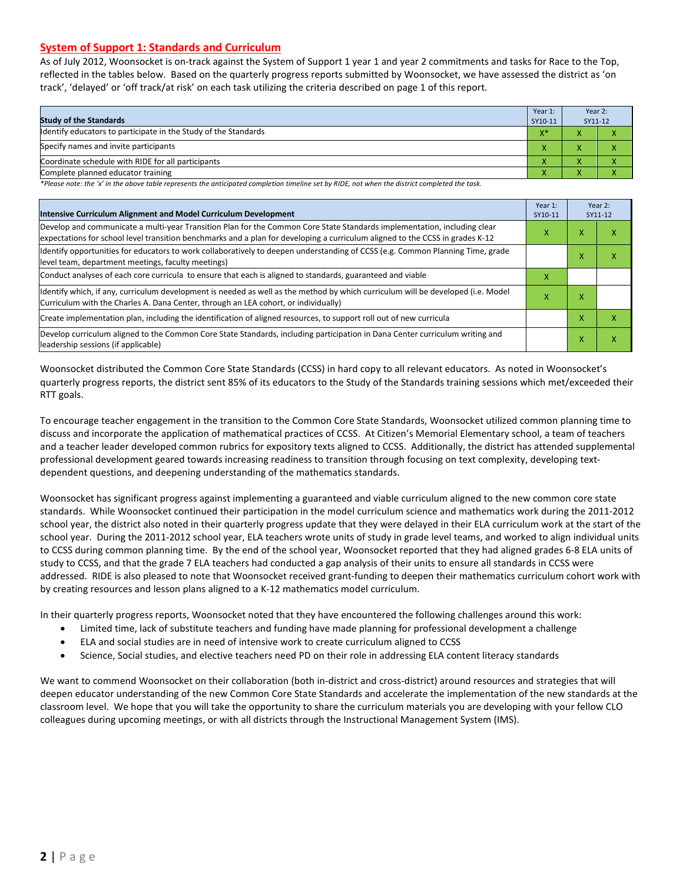#### **System of Support 1: Standards and Curriculum**

As of July 2012, Woonsocket is on-track against the System of Support 1 year 1 and year 2 commitments and tasks for Race to the Top, reflected in the tables below. Based on the quarterly progress reports submitted by Woonsocket, we have assessed the district as 'on track', 'delayed' or 'off track/at risk' on each task utilizing the criteria described on page 1 of this report.

| <b>Study of the Standards</b>                                   | Year 1:<br>SY10-11 | Year 2:<br>SY11-12 |  |
|-----------------------------------------------------------------|--------------------|--------------------|--|
| Identify educators to participate in the Study of the Standards | $X^*$              |                    |  |
| Specify names and invite participants                           |                    |                    |  |
| Coordinate schedule with RIDE for all participants              | ∧                  |                    |  |
| Complete planned educator training                              | ∧                  |                    |  |

*\*Please note: the 'x' in the above table represents the anticipated completion timeline set by RIDE, not when the district completed the task.*

| Intensive Curriculum Alignment and Model Curriculum Development                                                                                                                                                                                           | Year 1:<br>SY10-11 |   | Year 2:<br>SY11-12 |
|-----------------------------------------------------------------------------------------------------------------------------------------------------------------------------------------------------------------------------------------------------------|--------------------|---|--------------------|
| Develop and communicate a multi-year Transition Plan for the Common Core State Standards implementation, including clear<br>expectations for school level transition benchmarks and a plan for developing a curriculum aligned to the CCSS in grades K-12 | X                  | x | x                  |
| Identify opportunities for educators to work collaboratively to deepen understanding of CCSS (e.g. Common Planning Time, grade<br>level team, department meetings, faculty meetings)                                                                      |                    | x | x                  |
| Conduct analyses of each core curricula to ensure that each is aligned to standards, guaranteed and viable                                                                                                                                                | х                  |   |                    |
| ldentify which, if any, curriculum development is needed as well as the method by which curriculum will be developed (i.e. Model<br>Curriculum with the Charles A. Dana Center, through an LEA cohort, or individually)                                   | x                  | x |                    |
| Create implementation plan, including the identification of aligned resources, to support roll out of new curricula                                                                                                                                       |                    | x | x                  |
| Develop curriculum aligned to the Common Core State Standards, including participation in Dana Center curriculum writing and<br>leadership sessions (if applicable)                                                                                       |                    | Χ | x                  |

Woonsocket distributed the Common Core State Standards (CCSS) in hard copy to all relevant educators. As noted in Woonsocket's quarterly progress reports, the district sent 85% of its educators to the Study of the Standards training sessions which met/exceeded their RTT goals.

To encourage teacher engagement in the transition to the Common Core State Standards, Woonsocket utilized common planning time to discuss and incorporate the application of mathematical practices of CCSS. At Citizen's Memorial Elementary school, a team of teachers and a teacher leader developed common rubrics for expository texts aligned to CCSS. Additionally, the district has attended supplemental professional development geared towards increasing readiness to transition through focusing on text complexity, developing textdependent questions, and deepening understanding of the mathematics standards.

Woonsocket has significant progress against implementing a guaranteed and viable curriculum aligned to the new common core state standards. While Woonsocket continued their participation in the model curriculum science and mathematics work during the 2011-2012 school year, the district also noted in their quarterly progress update that they were delayed in their ELA curriculum work at the start of the school year. During the 2011-2012 school year, ELA teachers wrote units of study in grade level teams, and worked to align individual units to CCSS during common planning time. By the end of the school year, Woonsocket reported that they had aligned grades 6-8 ELA units of study to CCSS, and that the grade 7 ELA teachers had conducted a gap analysis of their units to ensure all standards in CCSS were addressed. RIDE is also pleased to note that Woonsocket received grant-funding to deepen their mathematics curriculum cohort work with by creating resources and lesson plans aligned to a K-12 mathematics model curriculum.

In their quarterly progress reports, Woonsocket noted that they have encountered the following challenges around this work:

- Limited time, lack of substitute teachers and funding have made planning for professional development a challenge
- ELA and social studies are in need of intensive work to create curriculum aligned to CCSS
- Science, Social studies, and elective teachers need PD on their role in addressing ELA content literacy standards

We want to commend Woonsocket on their collaboration (both in-district and cross-district) around resources and strategies that will deepen educator understanding of the new Common Core State Standards and accelerate the implementation of the new standards at the classroom level. We hope that you will take the opportunity to share the curriculum materials you are developing with your fellow CLO colleagues during upcoming meetings, or with all districts through the Instructional Management System (IMS).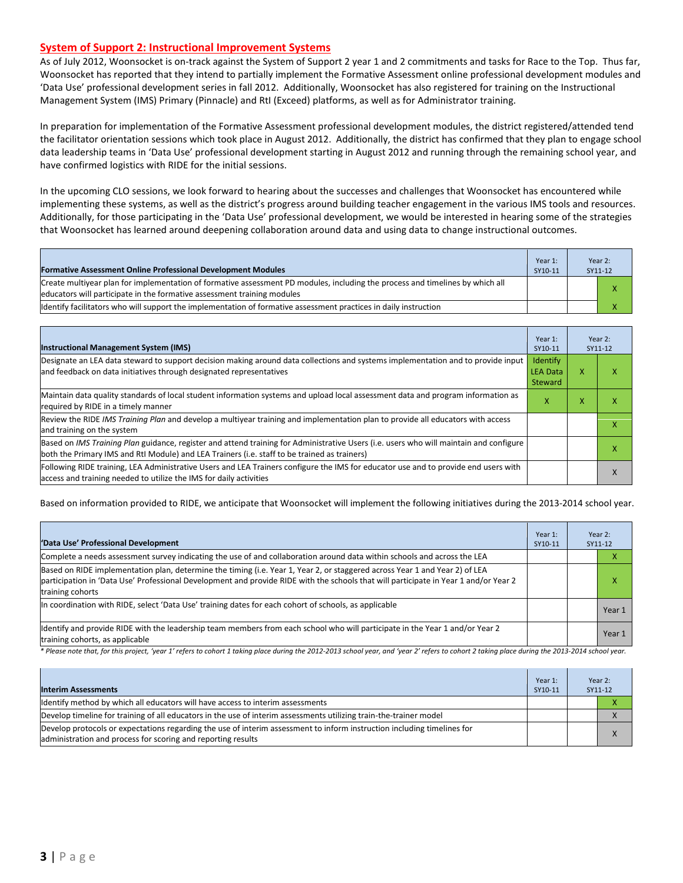#### **System of Support 2: Instructional Improvement Systems**

As of July 2012, Woonsocket is on-track against the System of Support 2 year 1 and 2 commitments and tasks for Race to the Top. Thus far, Woonsocket has reported that they intend to partially implement the Formative Assessment online professional development modules and 'Data Use' professional development series in fall 2012. Additionally, Woonsocket has also registered for training on the Instructional Management System (IMS) Primary (Pinnacle) and RtI (Exceed) platforms, as well as for Administrator training.

In preparation for implementation of the Formative Assessment professional development modules, the district registered/attended tend the facilitator orientation sessions which took place in August 2012. Additionally, the district has confirmed that they plan to engage school data leadership teams in 'Data Use' professional development starting in August 2012 and running through the remaining school year, and have confirmed logistics with RIDE for the initial sessions.

In the upcoming CLO sessions, we look forward to hearing about the successes and challenges that Woonsocket has encountered while implementing these systems, as well as the district's progress around building teacher engagement in the various IMS tools and resources. Additionally, for those participating in the 'Data Use' professional development, we would be interested in hearing some of the strategies that Woonsocket has learned around deepening collaboration around data and using data to change instructional outcomes.

| <b>Formative Assessment Online Professional Development Modules</b>                                                                                                                                      | Year 1:<br>SY10-11 | Year 2:<br>SY11-12 |
|----------------------------------------------------------------------------------------------------------------------------------------------------------------------------------------------------------|--------------------|--------------------|
| Create multiyear plan for implementation of formative assessment PD modules, including the process and timelines by which all<br>educators will participate in the formative assessment training modules |                    |                    |
| Identify facilitators who will support the implementation of formative assessment practices in daily instruction                                                                                         |                    |                    |

| <b>Instructional Management System (IMS)</b>                                                                                                                                                                                           | Year 1:<br>SY10-11                            |   | Year 2:<br>SY11-12 |
|----------------------------------------------------------------------------------------------------------------------------------------------------------------------------------------------------------------------------------------|-----------------------------------------------|---|--------------------|
| Designate an LEA data steward to support decision making around data collections and systems implementation and to provide input<br>and feedback on data initiatives through designated representatives                                | Identify<br><b>LEA Data</b><br><b>Steward</b> | x | x                  |
| Maintain data quality standards of local student information systems and upload local assessment data and program information as<br>required by RIDE in a timely manner                                                                | x                                             | x | х                  |
| Review the RIDE IMS Training Plan and develop a multiyear training and implementation plan to provide all educators with access<br>and training on the system                                                                          |                                               |   | x                  |
| Based on IMS Training Plan guidance, register and attend training for Administrative Users (i.e. users who will maintain and configure<br>both the Primary IMS and RtI Module) and LEA Trainers (i.e. staff to be trained as trainers) |                                               |   | x                  |
| Following RIDE training, LEA Administrative Users and LEA Trainers configure the IMS for educator use and to provide end users with<br>access and training needed to utilize the IMS for daily activities                              |                                               |   | x                  |

Based on information provided to RIDE, we anticipate that Woonsocket will implement the following initiatives during the 2013-2014 school year.

| 'Data Use' Professional Development                                                                                                                                                                                                                                                     | Year 1:<br>SY10-11 | Year 2:<br>SY11-12 |
|-----------------------------------------------------------------------------------------------------------------------------------------------------------------------------------------------------------------------------------------------------------------------------------------|--------------------|--------------------|
| Complete a needs assessment survey indicating the use of and collaboration around data within schools and across the LEA                                                                                                                                                                |                    | л                  |
| Based on RIDE implementation plan, determine the timing (i.e. Year 1, Year 2, or staggered across Year 1 and Year 2) of LEA<br>participation in 'Data Use' Professional Development and provide RIDE with the schools that will participate in Year 1 and/or Year 2<br>training cohorts |                    | χ                  |
| In coordination with RIDE, select 'Data Use' training dates for each cohort of schools, as applicable                                                                                                                                                                                   |                    | Year 1             |
| Identify and provide RIDE with the leadership team members from each school who will participate in the Year 1 and/or Year 2<br>training cohorts, as applicable                                                                                                                         |                    | Year 1             |

*\* Please note that, for this project, 'year 1' refers to cohort 1 taking place during the 2012-2013 school year, and 'year 2' refers to cohort 2 taking place during the 2013-2014 school year.*

| <b>Interim Assessments</b>                                                                                                                                                              | Year 1:<br>SY10-11 | Year 2:<br>SY11-12 |  |  |
|-----------------------------------------------------------------------------------------------------------------------------------------------------------------------------------------|--------------------|--------------------|--|--|
| Identify method by which all educators will have access to interim assessments                                                                                                          |                    |                    |  |  |
| Develop timeline for training of all educators in the use of interim assessments utilizing train-the-trainer model                                                                      |                    | ⋏                  |  |  |
| Develop protocols or expectations regarding the use of interim assessment to inform instruction including timelines for<br>administration and process for scoring and reporting results |                    |                    |  |  |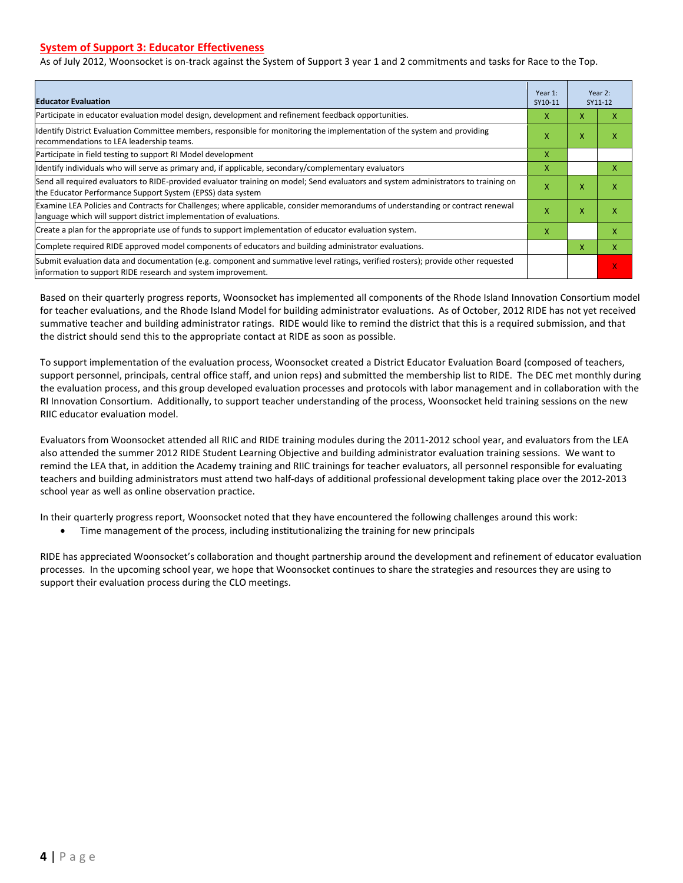#### **System of Support 3: Educator Effectiveness**

As of July 2012, Woonsocket is on-track against the System of Support 3 year 1 and 2 commitments and tasks for Race to the Top.

| <b>Educator Evaluation</b>                                                                                                                                                                            | Year 1:<br>SY10-11 |   | Year 2:<br>SY11-12 |
|-------------------------------------------------------------------------------------------------------------------------------------------------------------------------------------------------------|--------------------|---|--------------------|
| Participate in educator evaluation model design, development and refinement feedback opportunities.                                                                                                   | x                  | X | x                  |
| Identify District Evaluation Committee members, responsible for monitoring the implementation of the system and providing<br>recommendations to LEA leadership teams.                                 | X                  | X | χ                  |
| Participate in field testing to support RI Model development                                                                                                                                          | X.                 |   |                    |
| Identify individuals who will serve as primary and, if applicable, secondary/complementary evaluators                                                                                                 | x                  |   | x                  |
| Send all required evaluators to RIDE-provided evaluator training on model; Send evaluators and system administrators to training on<br>the Educator Performance Support System (EPSS) data system     | X                  | X | x                  |
| Examine LEA Policies and Contracts for Challenges; where applicable, consider memorandums of understanding or contract renewal<br>language which will support district implementation of evaluations. | X                  | X | x                  |
| Create a plan for the appropriate use of funds to support implementation of educator evaluation system.                                                                                               | x                  |   | x                  |
| Complete required RIDE approved model components of educators and building administrator evaluations.                                                                                                 |                    | X | X                  |
| Submit evaluation data and documentation (e.g. component and summative level ratings, verified rosters); provide other requested<br>linformation to support RIDE research and system improvement.     |                    |   |                    |

Based on their quarterly progress reports, Woonsocket has implemented all components of the Rhode Island Innovation Consortium model for teacher evaluations, and the Rhode Island Model for building administrator evaluations. As of October, 2012 RIDE has not yet received summative teacher and building administrator ratings. RIDE would like to remind the district that this is a required submission, and that the district should send this to the appropriate contact at RIDE as soon as possible.

To support implementation of the evaluation process, Woonsocket created a District Educator Evaluation Board (composed of teachers, support personnel, principals, central office staff, and union reps) and submitted the membership list to RIDE. The DEC met monthly during the evaluation process, and this group developed evaluation processes and protocols with labor management and in collaboration with the RI Innovation Consortium. Additionally, to support teacher understanding of the process, Woonsocket held training sessions on the new RIIC educator evaluation model.

Evaluators from Woonsocket attended all RIIC and RIDE training modules during the 2011-2012 school year, and evaluators from the LEA also attended the summer 2012 RIDE Student Learning Objective and building administrator evaluation training sessions. We want to remind the LEA that, in addition the Academy training and RIIC trainings for teacher evaluators, all personnel responsible for evaluating teachers and building administrators must attend two half-days of additional professional development taking place over the 2012-2013 school year as well as online observation practice.

In their quarterly progress report, Woonsocket noted that they have encountered the following challenges around this work:

• Time management of the process, including institutionalizing the training for new principals

RIDE has appreciated Woonsocket's collaboration and thought partnership around the development and refinement of educator evaluation processes. In the upcoming school year, we hope that Woonsocket continues to share the strategies and resources they are using to support their evaluation process during the CLO meetings.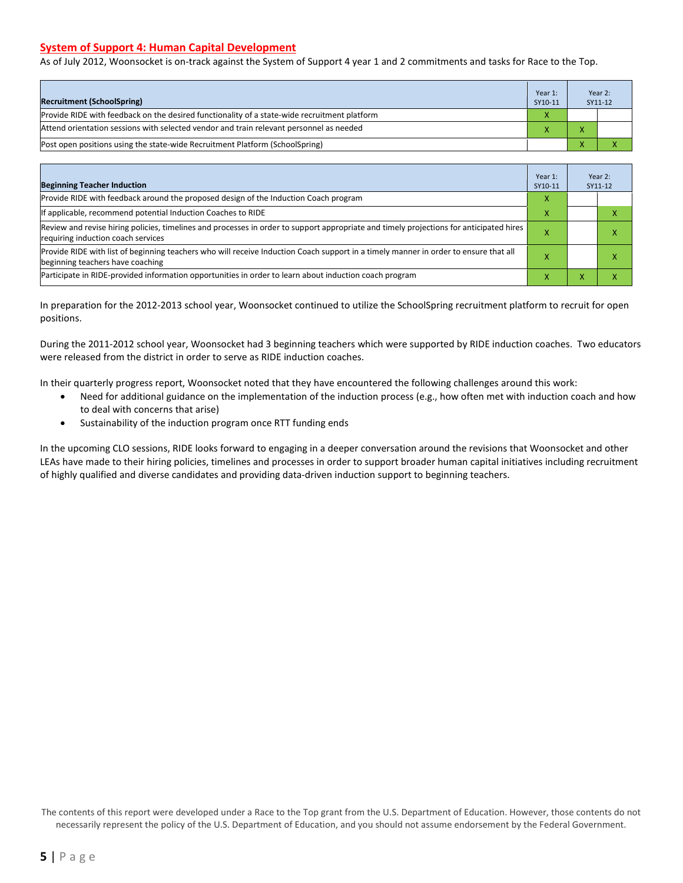#### **System of Support 4: Human Capital Development**

As of July 2012, Woonsocket is on-track against the System of Support 4 year 1 and 2 commitments and tasks for Race to the Top.

| <b>Recruitment (SchoolSpring)</b>                                                            | Year 1:<br>SY10-11 | Year 2:<br>SY11-12 |
|----------------------------------------------------------------------------------------------|--------------------|--------------------|
| Provide RIDE with feedback on the desired functionality of a state-wide recruitment platform | X                  |                    |
| Attend orientation sessions with selected vendor and train relevant personnel as needed      |                    |                    |
| Post open positions using the state-wide Recruitment Platform (SchoolSpring)                 |                    |                    |

| <b>Beginning Teacher Induction</b>                                                                                                                                            | Year 1:<br>SY10-11 |           | Year 2:<br>SY11-12 |
|-------------------------------------------------------------------------------------------------------------------------------------------------------------------------------|--------------------|-----------|--------------------|
| Provide RIDE with feedback around the proposed design of the Induction Coach program                                                                                          | x                  |           |                    |
| f applicable, recommend potential Induction Coaches to RIDE                                                                                                                   | x                  |           |                    |
| Review and revise hiring policies, timelines and processes in order to support appropriate and timely projections for anticipated hires<br>requiring induction coach services |                    |           |                    |
| Provide RIDE with list of beginning teachers who will receive Induction Coach support in a timely manner in order to ensure that all<br>beginning teachers have coaching      | х                  |           |                    |
| Participate in RIDE-provided information opportunities in order to learn about induction coach program                                                                        | x                  | $\Lambda$ |                    |

In preparation for the 2012-2013 school year, Woonsocket continued to utilize the SchoolSpring recruitment platform to recruit for open positions.

During the 2011-2012 school year, Woonsocket had 3 beginning teachers which were supported by RIDE induction coaches. Two educators were released from the district in order to serve as RIDE induction coaches.

In their quarterly progress report, Woonsocket noted that they have encountered the following challenges around this work:

- Need for additional guidance on the implementation of the induction process (e.g., how often met with induction coach and how to deal with concerns that arise)
- Sustainability of the induction program once RTT funding ends

In the upcoming CLO sessions, RIDE looks forward to engaging in a deeper conversation around the revisions that Woonsocket and other LEAs have made to their hiring policies, timelines and processes in order to support broader human capital initiatives including recruitment of highly qualified and diverse candidates and providing data-driven induction support to beginning teachers.

The contents of this report were developed under a Race to the Top grant from the U.S. Department of Education. However, those contents do not necessarily represent the policy of the U.S. Department of Education, and you should not assume endorsement by the Federal Government.